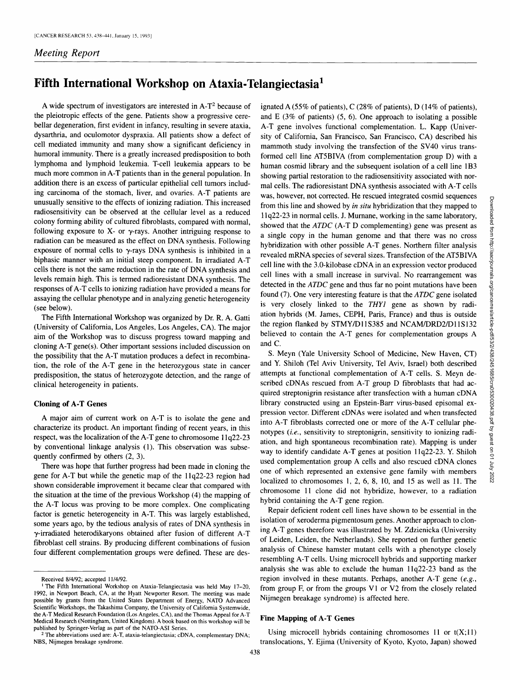# *Meeting Report*

# **Fifth International Workshop on Ataxia-Telangiectasia 1**

A wide spectrum of investigators are interested in  $A-T^2$  because of the pleiotropic effects of the gene. Patients show a progressive cerebellar degeneration, first evident in infancy, resulting in severe ataxia, dysarthria, and oculomotor dyspraxia. All patients show a defect of cell mediated immunity and many show a significant deficiency in humoral immunity. There is a greatly increased predisposition to both lymphoma and lymphoid leukemia. T-cell leukemia appears to be much more common in A-T patients than in the general population. In addition there is an excess of particular epithelial cell tumors including carcinoma of the stomach, liver, and ovaries. A-T patients are unusually sensitive to the effects of ionizing radiation. This increased radiosensitivity can be observed at the cellular level as a reduced colony forming ability of cultured fibroblasts, compared with normal, following exposure to X- or  $\gamma$ -rays. Another intriguing response to radiation can be measured as the effect on DNA synthesis. Following exposure of normal cells to  $\gamma$ -rays DNA synthesis is inhibited in a biphasic manner with an initial steep component. In irradiated A-T cells there is not the same reduction in the rate of DNA synthesis and levels remain high. This is termed radioresistant DNA synthesis. The responses of A-T cells to ionizing radiation have provided a means for assaying the cellular phenotype and in analyzing genetic heterogeneity (see below).

The Fifth International Workshop was organized by Dr. R. A. Gatti (University of California, Los Angeles, Los Angeles, CA). The major aim of the Workshop was to discuss progress toward mapping and cloning A-T gene(s). Other important sessions included discussion on the possibility that the A-T mutation produces a defect in recombination, the role of the A-T gene in the heterozygous state in cancer predisposition, the status of heterozygote detection, and the range of clinical heterogeneity in patients.

# **Cloning of A-T Genes**

A major aim of current work on A-T is to isolate the gene and characterize its product. An important finding of recent years, in this respect, was the localization of the A-T gene to chromosome 11q22-23 by conventional linkage analysis (1). This observation was subsequently confirmed by others (2, 3).

There was hope that further progress had been made in cloning the gene for A-T but while the genetic map of the 1 lq22-23 region had shown considerable improvement it became clear that compared with the situation at the time of the previous Workshop (4) the mapping of the A-T locus was proving to be more complex. One complicating factor is genetic heterogeneity in A-T. This was largely established, some years ago, by the tedious analysis of rates of DNA synthesis in  $\gamma$ -irradiated heterodikaryons obtained after fusion of different A-T fibroblast cell strains. By producing different combinations of fusion four different complementation groups were defined. These are des-

ignated A (55% of patients), C (28% of patients), D (14% of patients), and E  $(3\%$  of patients)  $(5, 6)$ . One approach to isolating a possible A-T gene involves functional complementation. L. Kapp (University of California, San Francisco, San Francisco, CA) described his mammoth study involving the transfection of the SV40 virus transformed cell line AT5BIVA (from complementation group D) with a human cosmid library and the subsequent isolation of a cell line 1B3 showing partial restoration to the radiosensitivity associated with normal cells. The radioresistant DNA synthesis associated with A-T cells was, however, not corrected. He rescued integrated cosmid sequences from this line and showed by *in situ* hybridization that they mapped to 1 lq22-23 in normal cells. J. Murnane, working in the same laboratory, showed that the *ATDC* (A-T D complementing) gene was present as a single copy in the human genome and that there was no cross hybridization with other possible A-T genes. Northern filter analysis revealed mRNA species of several sizes. Transfection of the AT5BIVA cell line with the 3.0-kilobase cDNA in an expression vector produced cell lines with a small increase in survival. No rearrangement was detected in the *ATDC* gene and thus far no point mutations have been found (7). One very interesting feature is that the *ATDC* gene isolated is very closely linked to the *THY1* gene as shown by radiation hybrids (M. James, CEPH, Paris, France) and thus is outside the region flanked by STMY/D11S385 and NCAM/DRD2/D11S132 believed to contain the A-T genes for complementation groups A and C.

S. Meyn (Yale University School of Medicine, New Haven, CT) and Y. Shiloh (Tel Aviv University, Tel Aviv, Israel) both described attempts at functional complementation of A-T cells. S. Meyn described cDNAs rescued from A-T group D fibroblasts that had acquired streptonigrin resistance after transfection with a human cDNA library constructed using an Epstein-Barr virus-based episomal expression vector. Different cDNAs were isolated and when transfected into A-T fibroblasts corrected one or more of the A-T cellular phenotypes *(i.e.,* sensitivity to streptonigrin, sensitivity to ionizing radiation, and high spontaneous recombination rate). Mapping is under way to identify candidate A-T genes at position 11q22-23. Y. Shiloh used complementation group A cells and also rescued cDNA clones one of which represented an extensive gene family with members localized to chromosomes 1, 2, 6, 8, 10, and 15 as well as 11. The chromosome 11 clone did not hybridize, however, to a radiation hybrid containing the A-T gene region.

Repair deficient rodent cell lines have shown to be essential in the isolation of xeroderma pigmentosum genes. Another approach to cloning A-T genes therefore was illustrated by M. Zdzienicka (University of Leiden, Leiden, the Netherlands). She reported on further genetic analysis of Chinese hamster mutant cells with a phenotype closely resembling A-T cells. Using microcell hybrids and supporting marker analysis she was able to exclude the human 11q22-23 band as the region involved in these mutants. Perhaps, another A-T gene *(e.g.,*  from group  $F$ , or from the groups V1 or V2 from the closely related Nijmegen breakage syndrome) is affected here.

# **Fine Mapping of A-T Genes**

Using microcell hybrids containing chromosomes  $11$  or  $t(X;11)$ translocations, Y. Ejima (University of Kyoto, Kyoto, Japan) showed

Received 8/4/92; accepted 11/4/92.

t The Fifth International Workshop on Ataxia-Telangiectasia was held May 17-20, 1992, in Newport Beach, CA, at the Hyatt Newporter Resort. The meeting was made possible by grants from the United States Department of Energy, NATO Advanced Scientific Workshops, the Takashima Company, the University of California Systemwide, the A-T Medical Research Foundation (Los Angeles, CA), and the Thomas Appeal for A-T Medical Research (Nottingham, United Kingdom). A book based on this workshop will be published by Springer-Verlag as part of the NATO-ASI Series.

<sup>2</sup> The abbreviations used are: A-T, ataxia-telangiectasia; cDNA, complementary DNA; NBS, Nijmegen breakage syndrome.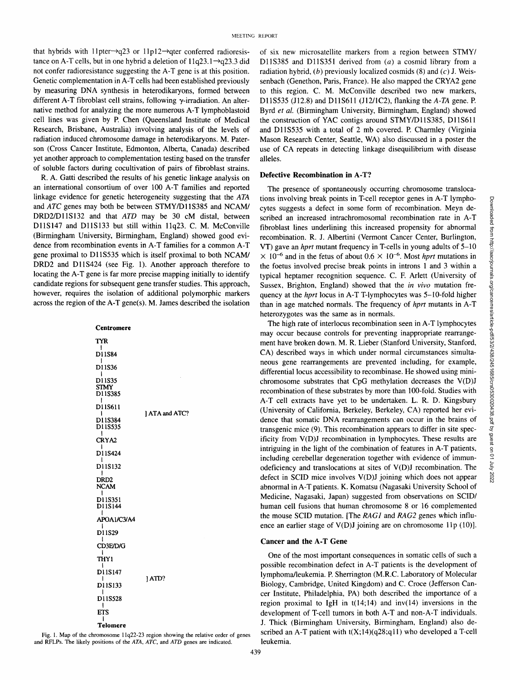that hybrids with 11 pter $\rightarrow$ q23 or 11 p12 $\rightarrow$ qter conferred radioresistance on A-T cells, but in one hybrid a deletion of  $11q23.1 \rightarrow q23.3$  did not confer radioresistance suggesting the A-T gene is at this position. Genetic complementation in A-T cells had been established previously by measuring DNA synthesis in heterodikaryons, formed between different A-T fibroblast cell strains, following y-irradiation. An alternative method for analyzing the more numerous A-T lymphoblastoid cell lines was given by P. Chen (Queensland Institute of Medical Research, Brisbane, Australia) involving analysis of the levels of radiation induced chromosome damage in heterodikaryons. M. Paterson (Cross Cancer Institute, Edmonton, Alberta, Canada) described yet another approach to complementation testing based on the transfer of soluble factors during cocultivation of pairs of fibroblast strains.

R. A. Gatti described the results of his genetic linkage analysis on an international consortium of over 100 A-T families and reported linkage evidence for genetic heterogeneity suggesting that the *ATA*  and *ATC* genes may both be between STMY/D11S385 and NCAM/ DRD2/DllS132 and that *ATD* may be 30 cM distal, between DllS147 and DllS133 but still within 11q23. C. M. McConville (Birmingham University, Birmingham, England) showed good evidence from recombination events in A-T families for a common A-T gene proximal to DllS535 which is itself proximal to both NCAM/ DRD2 and DllS424 (see Fig. 1). Another approach therefore to locating the A-T gene is far more precise mapping initially to identify candidate regions for subsequent gene transfer studies. This approach, however, requires the isolation of additional polymorphic markers across the region of the A-T gene(s). M. James described the isolation

| Centromere                            |                |
|---------------------------------------|----------------|
| TYR                                   |                |
| I<br>D11S84<br>ı                      |                |
| D11S36<br>I                           | 1 ATA and ATC? |
| D11S35<br><b>STMY</b><br>D11S385<br>I |                |
| D11S611<br>۱                          |                |
| D11S384<br>D11S535<br>ŧ               |                |
| CRYA2<br>ł                            |                |
| D11S424<br>ı                          |                |
| D11S132<br>I                          |                |
| DRD2<br><b>NCAM</b><br>١              |                |
| D11S351<br>D11S144<br>ı               |                |
| APOA1/C3/A4<br>ł                      |                |
| D11S29<br>ı                           |                |
| CD3E/D/G<br>I                         |                |
| <b>THY1</b><br>ł                      |                |
| D11S147<br>ı                          | 1ATD?          |
| D11S133<br>I                          |                |
| D11S528<br>ı                          |                |
| ETS                                   |                |
| ı<br>Telomere                         |                |

Fig. 1. Map of the chromosome 11q22-23 region showing the relative order of genes and RFLPs. The likely positions of the *ATA, ATC,* and *ATD* genes are indicated.

of six new microsatellite markers from a region between STMY/ D11S385 and D11S351 derived from  $(a)$  a cosmid library from a radiation hybrid,  $(b)$  previously localized cosmids (8) and  $(c)$  J. Weissenbach (Genethon, Paris, France). He also mapped the CRYA2 gene to this region. C. M. McConville described two new markers, D11S535 (J12.8) and DllS611 (J12/1C2), flanking the *A-TA* gene. P. Byrd *et al.* (Birmingham University, Birmingham, England) showed the construction of YAC contigs around STMY/D11S385, D11S611 and DllS535 with a total of 2 mb covered. P. Charmley (Virginia Mason Research Center, Seattle, WA) also discussed in a poster the use of CA repeats in detecting linkage disequilibrium with disease alleles.

## **Defective Recombination in A-T?**

The presence of spontaneously occurring chromosome translocations involving break points in T-cell receptor genes in A-T lymphocytes suggests a defect in some form of recombination. Meyn described an increased intrachromosomal recombination rate in A-T fibroblast lines underlining this increased propensity for abnormal recombination. R. J. Albertini (Vermont Cancer Center, Burlington, VT) gave an *hprt* mutant frequency in T-cells in young adults of 5-10  $\times$  10<sup>-6</sup> and in the fetus of about 0.6  $\times$  10<sup>-6</sup>. Most *hprt* mutations in the foetus involved precise break points in introns 1 and 3 within a typical heptamer recognition sequence. C. E Arlett (University of Sussex, Brighton, England) showed that the *in vivo* mutation frequency at the *hprt* locus in A-T T-lymphocytes was 5-10-fold higher than in age matched normals. The frequency of *hprt* mutants in A-T heterozygotes was the same as in normals.

The high rate of interlocus recombination seen in A-T lymphocytes may occur because controls for preventing inappropriate rearrangement have broken down. M. R. Lieber (Stanford University, Stanford, CA) described ways in which under normal circumstances simultaneous gene rearrangements are prevented including, for example, differential locus accessibility to recombinase. He showed using minichromosome substrates that CpG methylation decreases the V(D)J recombination of these substrates by more than 100-fold. Studies with A-T cell extracts have yet to be undertaken. L. R. D. Kingsbury (University of California, Berkeley, Berkeley, CA) reported her evidence that somatic DNA rearrangements can occur in the brains of transgenic mice (9). This recombination appears to differ in site specificity from V(D)J recombination in lymphocytes. These results are intriguing in the light of the combination of features in A-T patients, including cerebellar degeneration together with evidence of immunodeficiency and translocations at sites of V(D)J recombination. The defect in SCID mice involves V(D)J joining which does not appear abnormal in A-T patients. K. Komatsu (Nagasaki University School of Medicine, Nagasaki, Japan) suggested from observations on SCID/ human cell fusions that human chromosome 8 or 16 complemented the mouse SCID mutation. [The *RAG1* and *RAG2* genes which influence an earlier stage of  $V(D)$ J joining are on chromosome 11p (10)].

#### **Cancer and the A-T Gene**

One of the most important consequences in somatic cells of such a possible recombination defect in A-T patients is the development of lymphoma/leukemia. P. Sherrington (M.R.C. Laboratory of Molecular Biology, Cambridge, United Kingdom) and C. Croce (Jefferson Cancer Institute, Philadelphia, PA) both described the importance of a region proximal to IgH in  $t(14;14)$  and  $inv(14)$  inversions in the development of T-cell tumors in both A-T and non-A-T individuals. J. Thick (Birmingham University, Birmingham, England) also described an A-T patient with  $t(X; 14)(q28; q11)$  who developed a T-cell leukemia.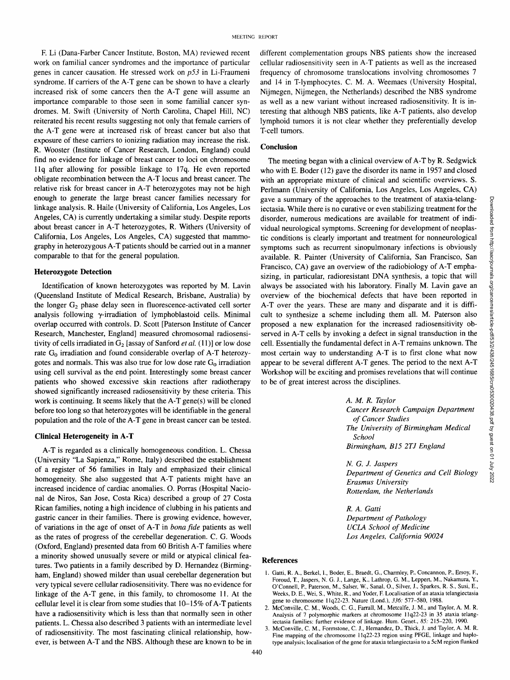E Li (Dana-Farber Cancer Institute, Boston, MA) reviewed recent work on familial cancer syndromes and the importance of particular genes in cancer causation. He stressed work on *p53* in Li-Fraumeni syndrome. If carriers of the A-T gene can be shown to have a clearly increased risk of some cancers then the A-T gene will assume an importance comparable to those seen in some familial cancer syndromes. M. Swift (University of North Carolina, Chapel Hill, NC) reiterated his recent results suggesting not only that female carriers of the A-T gene were at increased risk of breast cancer but also that exposure of these carriers to ionizing radiation may increase the risk. R. Wooster (Institute of Cancer Research, London, England) could find no evidence for linkage of breast cancer to loci on chromosome l lq after allowing for possible linkage to 17q. He even reported obligate recombination between the A-T locus and breast cancer. The relative risk for breast cancer in A-T heterozygotes may not be high enough to generate the large breast cancer families necessary for linkage analysis. R. Haile (University of California, Los Angeles, Los Angeles, CA) is currently undertaking a similar study. Despite reports about breast cancer in A-T heterozygotes, R. Withers (University of California, Los Angeles, Los Angeles, CA) suggested that mammography in heterozygous A-T patients should be carried out in a manner comparable to that for the general population.

#### **Heterozygote Detection**

Identification of known heterozygotes was reported by M. Lavin (Queensland Institute of Medical Research, Brisbane, Australia) by the longer G<sub>2</sub> phase delay seen in fluorescence-activated cell sorter analysis following  $\gamma$ -irradiation of lymphoblastoid cells. Minimal overlap occurred with controls. D. Scott [Paterson Institute of Cancer Research, Manchester, England] measured chromosomal radiosensitivity of cells irradiated in  $G_2$  [assay of Sanford *et al.* (11)] or low dose rate G<sub>0</sub> irradiation and found considerable overlap of A-T heterozygotes and normals. This was also true for low dose rate  $G_0$  irradiation using cell survival as the end point. Interestingly some breast cancer patients who showed excessive skin reactions after radiotherapy showed significantly increased radiosensitivity by these criteria. This work is continuing. It seems likely that the A-T gene(s) will be cloned before too long so that heterozygotes will be identifiable in the general population and the role of the A-T gene in breast cancer can be tested.

#### **Clinical Heterogeneity in A-T**

A-T is regarded as a clinically homogeneous condition. L. Chessa (University "La Sapienza," Rome, Italy) described the establishment of a register of 56 families in Italy and emphasized their clinical homogeneity. She also suggested that A-T patients might have an increased incidence of cardiac anomalies. O. Porras (Hospital Nacional de Niros, San Jose, Costa Rica) described a group of 27 Costa Rican families, noting a high incidence of clubbing in his patients and gastric cancer in their families. There is growing evidence, however, of variations in the age of onset of A-T in *bona fide* patients as well as the rates of progress of the cerebellar degeneration. C. G. Woods (Oxford, England) presented data from 60 British A-T families where a minority showed unusually severe or mild or atypical clinical features. Two patients in a family described by D. Hernandez (Birmingham, England) showed milder than usual cerebellar degeneration but very typical severe cellular radiosensitivity. There was no evidence for linkage of the A-T gene, in this family, to chromosome 11. At the cellular level it is clear from some studies that 10-15% of A-T patients have a radiosensitivity which is less than that normally seen in other patients. L. Chessa also described 3 patients with an intermediate level of radiosensitivity. The most fascinating clinical relationship, however, is between A-T and the NBS. Although these are known to be in different complementation groups NBS patients show the increased cellular radiosensitivity seen in A-T patients as well as the increased frequency of chromosome translocations involving chromosomes 7 and 14 in T-lymphocytes. C. M. A. Weemaes (University Hospital, Nijmegen, Nijmegen, the Netherlands) described the NBS syndrome as well as a new variant without increased radiosensitivity. It is interesting that although NBS patients, like A-T patients, also develop lymphoid tumors it is not clear whether they preferentially develop T-cell tumors.

## **Conclusion**

The meeting began with a clinical overview of A-T by R. Sedgwick who with E. Boder (12) gave the disorder its name in 1957 and closed with an appropriate mixture of clinical and scientific overviews. S. Perlmann (University of California, Los Angeles, Los Angeles, CA) gave a summary of the approaches to the treatment of ataxia-telangiectasia. While there is no curative or even stabilizing treatment for the disorder, numerous medications are available for treatment of individual neurological symptoms. Screening for development of neoplastic conditions is clearly important and treatment for nonneurological symptoms such as recurrent sinopulmonary infections is obviously available. R. Painter (University of California, San Francisco, San Francisco, CA) gave an overview of the radiobiology of A-T emphasizing, in particular, radioresistant DNA synthesis, a topic that will always be associated with his laboratory. Finally M. Lavin gave an overview of the biochemical defects that have been reported in A-T over the years. These are many and disparate and it is difficult to synthesize a scheme including them all. M. Paterson also proposed a new explanation for the increased radiosensitivity observed in A-T cells by invoking a defect in signal transduction in **the**  cell. Essentially the fundamental defect in A-T remains unknown. The most certain way to understanding A-T is to first clone what now appear to be several different A-T genes. The period to the next A-T Workshop will be exciting and promises revelations that will continue to be of great interest across the disciplines.

*A. M. R. Taylor* 

*School* 

*of Cancer Studies* 

*Cancer Research Campaign Department The University of Birmingham Medical Birmingham, B15 2TJ England* 

*N. G. J. Jaspers Department of Genetics and Cell Biology Erasmus University Rotterdam, the Netherlands* 

*R. A. Gatti Department of Pathology UCLA School of Medicine Los Angeles, California 90024* 

### **References**

- 1. Gatti, R. A., Berkel, I., Boder, E., Braedt, G., Charrnley, E, Concannon, E, Ersoy, E, Foroud, T., Jaspers, N. G. J., Lange, K., Lathrop, G. M., Leppert, M., Nakamura, Y., O'Connell, R, Paterson, M., Salser, W., Sanal, O., Silver, J., Sparkes, R. S., Susi, E., Weeks, D. E., Wei, S., White, R., and Yoder, E Localisation of an ataxia telangiectasia gene to chromosome 11q22-23. Nature (Lond.), *336:* 577-580, 1988.
- 2. McConville, C. M., Woods, C. G., Farrall, M., Metcalfe, J. M., and Taylor, A. M. R. Analysis of 7 polymorphic markers **at** chromosome 11q22-23 in 35 ataxia telangiectasia families: further evidence of linkage. Hum. Genet., *85:* 215-220, 1990.
- 3. McConville, C. M., Formstone, C. J., Hemandez, D., Thick, J. and Taylor, A. M. R. Fine mapping of the chromosome 11q22-23 region using PFGE, linkage and haplotype analysis; localisation of the gene for ataxia telangiectasia to a 5cM region flanked